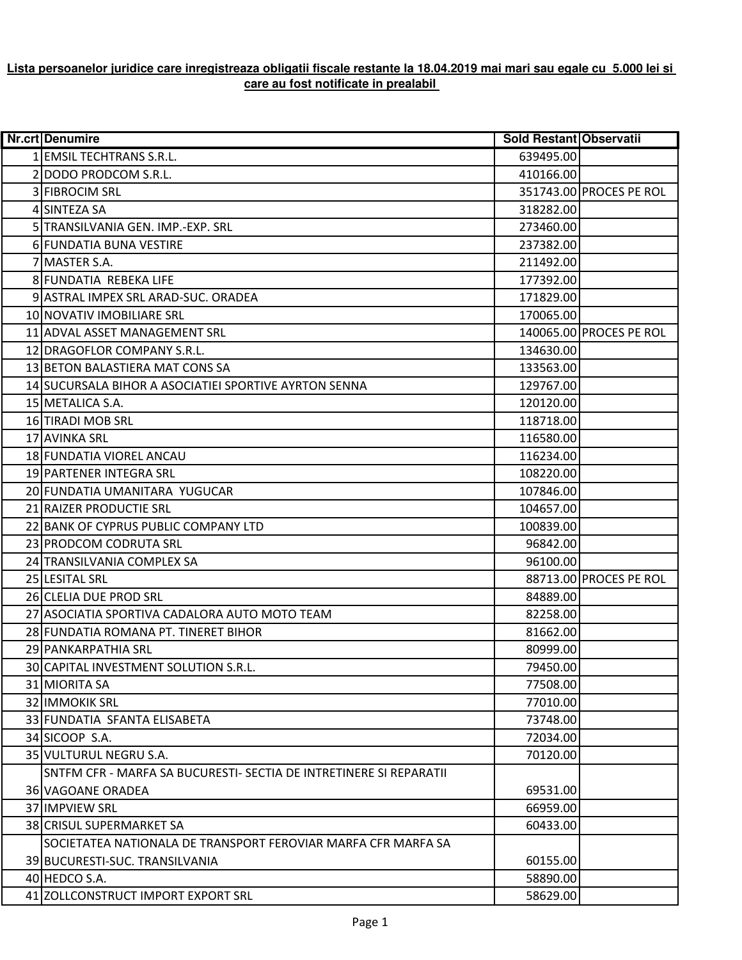## **Lista persoanelor juridice care inregistreaza obligatii fiscale restante la 18.04.2019 mai mari sau egale cu 5.000 lei si care au fost notificate in prealabil**

| <b>Nr.crt Denumire</b>                                             | Sold Restant Observatii |                         |
|--------------------------------------------------------------------|-------------------------|-------------------------|
| 1 EMSIL TECHTRANS S.R.L.                                           | 639495.00               |                         |
| 2 DODO PRODCOM S.R.L.                                              | 410166.00               |                         |
| 3 FIBROCIM SRL                                                     |                         | 351743.00 PROCES PE ROL |
| 4 SINTEZA SA                                                       | 318282.00               |                         |
| 5 TRANSILVANIA GEN. IMP.-EXP. SRL                                  | 273460.00               |                         |
| 6 FUNDATIA BUNA VESTIRE                                            | 237382.00               |                         |
| 7 MASTER S.A.                                                      | 211492.00               |                         |
| 8 FUNDATIA REBEKA LIFE                                             | 177392.00               |                         |
| 9 ASTRAL IMPEX SRL ARAD-SUC. ORADEA                                | 171829.00               |                         |
| 10 NOVATIV IMOBILIARE SRL                                          | 170065.00               |                         |
| 11 ADVAL ASSET MANAGEMENT SRL                                      |                         | 140065.00 PROCES PE ROL |
| 12 DRAGOFLOR COMPANY S.R.L.                                        | 134630.00               |                         |
| 13 BETON BALASTIERA MAT CONS SA                                    | 133563.00               |                         |
| 14 SUCURSALA BIHOR A ASOCIATIEI SPORTIVE AYRTON SENNA              | 129767.00               |                         |
| 15 METALICA S.A.                                                   | 120120.00               |                         |
| 16 TIRADI MOB SRL                                                  | 118718.00               |                         |
| 17 AVINKA SRL                                                      | 116580.00               |                         |
| 18 FUNDATIA VIOREL ANCAU                                           | 116234.00               |                         |
| 19 PARTENER INTEGRA SRL                                            | 108220.00               |                         |
| 20 FUNDATIA UMANITARA YUGUCAR                                      | 107846.00               |                         |
| 21 RAIZER PRODUCTIE SRL                                            | 104657.00               |                         |
| 22 BANK OF CYPRUS PUBLIC COMPANY LTD                               | 100839.00               |                         |
| 23 PRODCOM CODRUTA SRL                                             | 96842.00                |                         |
| 24 TRANSILVANIA COMPLEX SA                                         | 96100.00                |                         |
| 25 LESITAL SRL                                                     |                         | 88713.00 PROCES PE ROL  |
| 26 CLELIA DUE PROD SRL                                             | 84889.00                |                         |
| 27 ASOCIATIA SPORTIVA CADALORA AUTO MOTO TEAM                      | 82258.00                |                         |
| 28 FUNDATIA ROMANA PT. TINERET BIHOR                               | 81662.00                |                         |
| 29 PANKARPATHIA SRL                                                | 80999.00                |                         |
| 30 CAPITAL INVESTMENT SOLUTION S.R.L.                              | 79450.00                |                         |
| 31 MIORITA SA                                                      | 77508.00                |                         |
| 32 IMMOKIK SRL                                                     | 77010.00                |                         |
| 33 FUNDATIA SFANTA ELISABETA                                       | 73748.00                |                         |
| 34 SICOOP S.A.                                                     | 72034.00                |                         |
| 35 VULTURUL NEGRU S.A.                                             | 70120.00                |                         |
| SNTFM CFR - MARFA SA BUCURESTI- SECTIA DE INTRETINERE SI REPARATII |                         |                         |
| 36 VAGOANE ORADEA                                                  | 69531.00                |                         |
| 37 IMPVIEW SRL                                                     | 66959.00                |                         |
| <b>38 CRISUL SUPERMARKET SA</b>                                    | 60433.00                |                         |
| SOCIETATEA NATIONALA DE TRANSPORT FEROVIAR MARFA CFR MARFA SA      |                         |                         |
| 39 BUCURESTI-SUC. TRANSILVANIA                                     | 60155.00                |                         |
| 40 HEDCO S.A.                                                      | 58890.00                |                         |
| 41 ZOLLCONSTRUCT IMPORT EXPORT SRL                                 | 58629.00                |                         |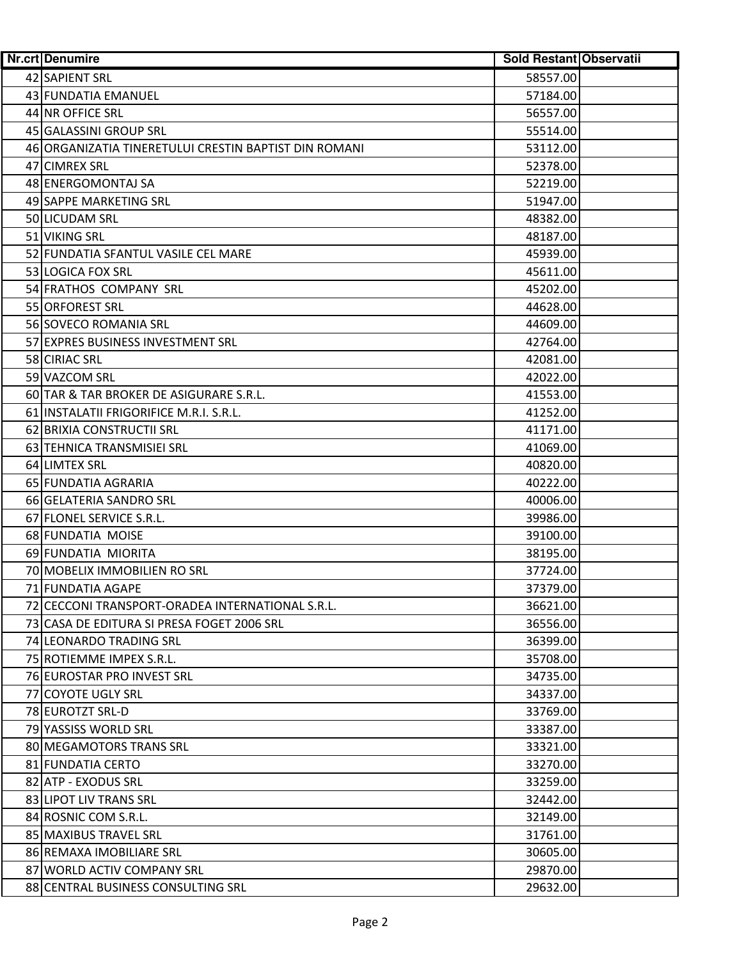| <b>Nr.crt Denumire</b>                                | Sold Restant Observatii |
|-------------------------------------------------------|-------------------------|
| 42 SAPIENT SRL                                        | 58557.00                |
| 43 FUNDATIA EMANUEL                                   | 57184.00                |
| 44 NR OFFICE SRL                                      | 56557.00                |
| 45 GALASSINI GROUP SRL                                | 55514.00                |
| 46 ORGANIZATIA TINERETULUI CRESTIN BAPTIST DIN ROMANI | 53112.00                |
| 47 CIMREX SRL                                         | 52378.00                |
| 48 ENERGOMONTAJ SA                                    | 52219.00                |
| 49 SAPPE MARKETING SRL                                | 51947.00                |
| 50 LICUDAM SRL                                        | 48382.00                |
| 51 VIKING SRL                                         | 48187.00                |
| 52 FUNDATIA SFANTUL VASILE CEL MARE                   | 45939.00                |
| 53 LOGICA FOX SRL                                     | 45611.00                |
| 54 FRATHOS COMPANY SRL                                | 45202.00                |
| 55 ORFOREST SRL                                       | 44628.00                |
| 56 SOVECO ROMANIA SRL                                 | 44609.00                |
| 57 EXPRES BUSINESS INVESTMENT SRL                     | 42764.00                |
| 58 CIRIAC SRL                                         | 42081.00                |
| 59 VAZCOM SRL                                         | 42022.00                |
| 60 TAR & TAR BROKER DE ASIGURARE S.R.L.               | 41553.00                |
| 61 INSTALATII FRIGORIFICE M.R.I. S.R.L.               | 41252.00                |
| 62 BRIXIA CONSTRUCTII SRL                             | 41171.00                |
| 63 TEHNICA TRANSMISIEI SRL                            | 41069.00                |
| 64 LIMTEX SRL                                         | 40820.00                |
| 65 FUNDATIA AGRARIA                                   | 40222.00                |
| 66 GELATERIA SANDRO SRL                               | 40006.00                |
| 67 FLONEL SERVICE S.R.L.                              | 39986.00                |
| 68 FUNDATIA MOISE                                     | 39100.00                |
| 69 FUNDATIA MIORITA                                   | 38195.00                |
| 70 MOBELIX IMMOBILIEN RO SRL                          | 37724.00                |
| 71 FUNDATIA AGAPE                                     | 37379.00                |
| 72 CECCONI TRANSPORT-ORADEA INTERNATIONAL S.R.L.      | 36621.00                |
| 73 CASA DE EDITURA SI PRESA FOGET 2006 SRL            | 36556.00                |
| 74 LEONARDO TRADING SRL                               | 36399.00                |
| 75 ROTIEMME IMPEX S.R.L.                              | 35708.00                |
| 76 EUROSTAR PRO INVEST SRL                            | 34735.00                |
| 77 COYOTE UGLY SRL                                    | 34337.00                |
| 78 EUROTZT SRL-D                                      | 33769.00                |
| 79 YASSISS WORLD SRL                                  | 33387.00                |
| 80 MEGAMOTORS TRANS SRL                               | 33321.00                |
| 81 FUNDATIA CERTO                                     | 33270.00                |
| 82 ATP - EXODUS SRL                                   | 33259.00                |
| 83 LIPOT LIV TRANS SRL                                | 32442.00                |
| 84 ROSNIC COM S.R.L.                                  | 32149.00                |
| 85 MAXIBUS TRAVEL SRL                                 | 31761.00                |
| 86 REMAXA IMOBILIARE SRL                              | 30605.00                |
| 87 WORLD ACTIV COMPANY SRL                            | 29870.00                |
| 88 CENTRAL BUSINESS CONSULTING SRL                    | 29632.00                |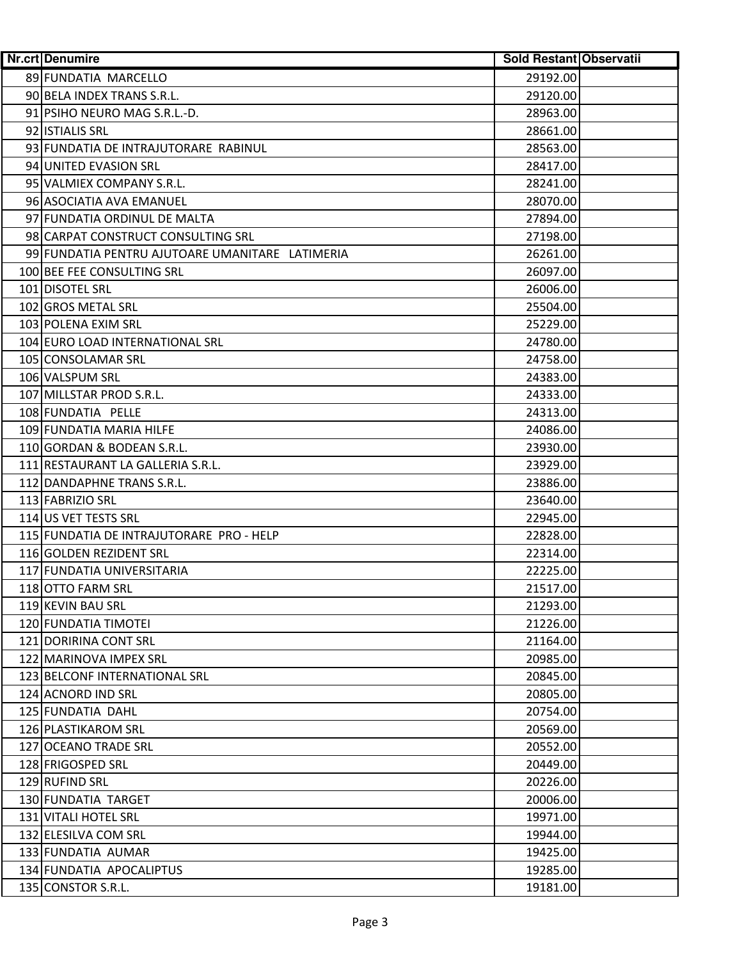| <b>Nr.crt Denumire</b>                          | <b>Sold Restant Observatii</b> |
|-------------------------------------------------|--------------------------------|
| 89 FUNDATIA MARCELLO                            | 29192.00                       |
| 90 BELA INDEX TRANS S.R.L.                      | 29120.00                       |
| 91 PSIHO NEURO MAG S.R.L.-D.                    | 28963.00                       |
| 92 ISTIALIS SRL                                 | 28661.00                       |
| 93 FUNDATIA DE INTRAJUTORARE RABINUL            | 28563.00                       |
| 94 UNITED EVASION SRL                           | 28417.00                       |
| 95 VALMIEX COMPANY S.R.L.                       | 28241.00                       |
| 96 ASOCIATIA AVA EMANUEL                        | 28070.00                       |
| 97 FUNDATIA ORDINUL DE MALTA                    | 27894.00                       |
| 98 CARPAT CONSTRUCT CONSULTING SRL              | 27198.00                       |
| 99 FUNDATIA PENTRU AJUTOARE UMANITARE LATIMERIA | 26261.00                       |
| 100 BEE FEE CONSULTING SRL                      | 26097.00                       |
| 101 DISOTEL SRL                                 | 26006.00                       |
| 102 GROS METAL SRL                              | 25504.00                       |
| 103 POLENA EXIM SRL                             | 25229.00                       |
| 104 EURO LOAD INTERNATIONAL SRL                 | 24780.00                       |
| 105 CONSOLAMAR SRL                              | 24758.00                       |
| 106 VALSPUM SRL                                 | 24383.00                       |
| 107 MILLSTAR PROD S.R.L.                        | 24333.00                       |
| 108 FUNDATIA PELLE                              | 24313.00                       |
| 109 FUNDATIA MARIA HILFE                        | 24086.00                       |
| 110 GORDAN & BODEAN S.R.L.                      | 23930.00                       |
| 111 RESTAURANT LA GALLERIA S.R.L.               | 23929.00                       |
| 112 DANDAPHNE TRANS S.R.L.                      | 23886.00                       |
| 113 FABRIZIO SRL                                | 23640.00                       |
| 114 US VET TESTS SRL                            | 22945.00                       |
| 115 FUNDATIA DE INTRAJUTORARE PRO - HELP        | 22828.00                       |
| 116 GOLDEN REZIDENT SRL                         | 22314.00                       |
| 117 FUNDATIA UNIVERSITARIA                      | 22225.00                       |
| 118 OTTO FARM SRL                               | 21517.00                       |
| 119 KEVIN BAU SRL                               | 21293.00                       |
| 120 FUNDATIA TIMOTEI                            | 21226.00                       |
| 121 DORIRINA CONT SRL                           | 21164.00                       |
| 122 MARINOVA IMPEX SRL                          | 20985.00                       |
| 123 BELCONF INTERNATIONAL SRL                   | 20845.00                       |
| 124 ACNORD IND SRL                              | 20805.00                       |
| 125 FUNDATIA DAHL                               | 20754.00                       |
| 126 PLASTIKAROM SRL                             | 20569.00                       |
| 127 OCEANO TRADE SRL                            | 20552.00                       |
| 128 FRIGOSPED SRL                               | 20449.00                       |
| 129 RUFIND SRL                                  | 20226.00                       |
| 130 FUNDATIA TARGET                             | 20006.00                       |
| 131 VITALI HOTEL SRL                            | 19971.00                       |
| 132 ELESILVA COM SRL                            | 19944.00                       |
| 133 FUNDATIA AUMAR                              | 19425.00                       |
| 134 FUNDATIA APOCALIPTUS                        | 19285.00                       |
| 135 CONSTOR S.R.L.                              | 19181.00                       |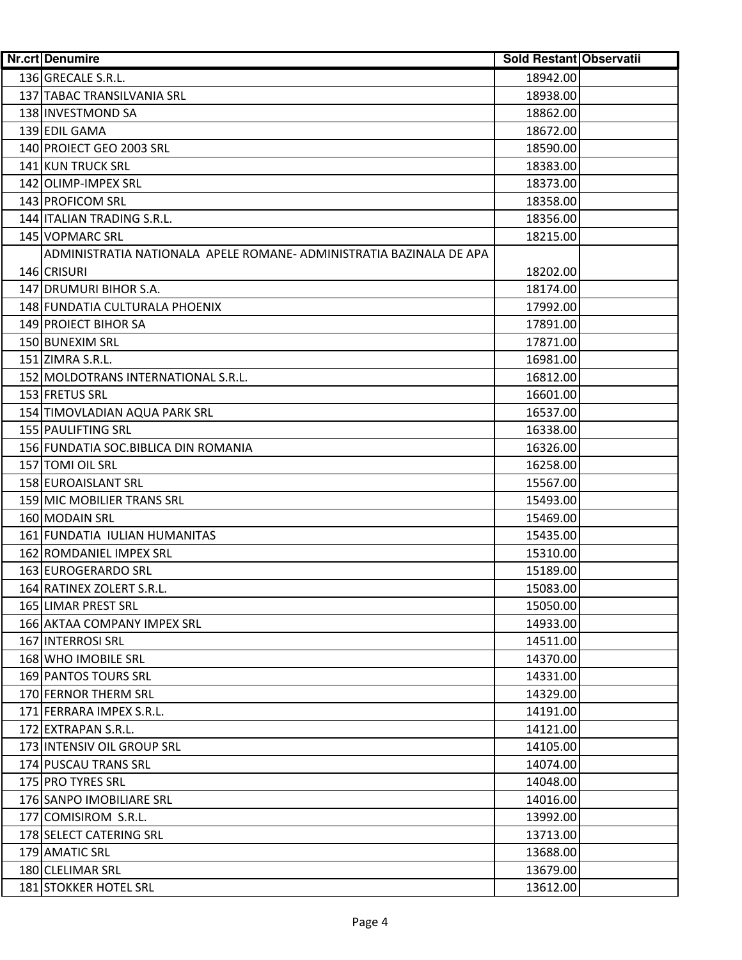| Nr.crt Denumire                                                     | Sold Restant Observatii |
|---------------------------------------------------------------------|-------------------------|
| 136 GRECALE S.R.L.                                                  | 18942.00                |
| 137 TABAC TRANSILVANIA SRL                                          | 18938.00                |
| 138 INVESTMOND SA                                                   | 18862.00                |
| 139 EDIL GAMA                                                       | 18672.00                |
| 140 PROIECT GEO 2003 SRL                                            | 18590.00                |
| 141 KUN TRUCK SRL                                                   | 18383.00                |
| 142 OLIMP-IMPEX SRL                                                 | 18373.00                |
| 143 PROFICOM SRL                                                    | 18358.00                |
| 144 ITALIAN TRADING S.R.L.                                          | 18356.00                |
| 145 VOPMARC SRL                                                     | 18215.00                |
| ADMINISTRATIA NATIONALA APELE ROMANE- ADMINISTRATIA BAZINALA DE APA |                         |
| 146 CRISURI                                                         | 18202.00                |
| 147 DRUMURI BIHOR S.A.                                              | 18174.00                |
| 148 FUNDATIA CULTURALA PHOENIX                                      | 17992.00                |
| 149 PROIECT BIHOR SA                                                | 17891.00                |
| 150 BUNEXIM SRL                                                     | 17871.00                |
| 151 ZIMRA S.R.L.                                                    | 16981.00                |
| 152 MOLDOTRANS INTERNATIONAL S.R.L.                                 | 16812.00                |
| 153 FRETUS SRL                                                      | 16601.00                |
| 154 TIMOVLADIAN AQUA PARK SRL                                       | 16537.00                |
| 155 PAULIFTING SRL                                                  | 16338.00                |
| 156 FUNDATIA SOC. BIBLICA DIN ROMANIA                               | 16326.00                |
| 157 TOMI OIL SRL                                                    | 16258.00                |
| 158 EUROAISLANT SRL                                                 | 15567.00                |
| 159 MIC MOBILIER TRANS SRL                                          | 15493.00                |
| 160 MODAIN SRL                                                      | 15469.00                |
| 161 FUNDATIA IULIAN HUMANITAS                                       | 15435.00                |
| 162 ROMDANIEL IMPEX SRL                                             | 15310.00                |
| 163 EUROGERARDO SRL                                                 | 15189.00                |
| 164 RATINEX ZOLERT S.R.L.                                           | 15083.00                |
| 165 LIMAR PREST SRL                                                 | 15050.00                |
| 166 AKTAA COMPANY IMPEX SRL                                         | 14933.00                |
| 167 INTERROSI SRL                                                   | 14511.00                |
| 168 WHO IMOBILE SRL                                                 | 14370.00                |
| 169 PANTOS TOURS SRL                                                | 14331.00                |
| 170 FERNOR THERM SRL                                                | 14329.00                |
| 171 FERRARA IMPEX S.R.L.                                            | 14191.00                |
| 172 EXTRAPAN S.R.L.                                                 | 14121.00                |
| 173 INTENSIV OIL GROUP SRL                                          | 14105.00                |
| 174 PUSCAU TRANS SRL                                                | 14074.00                |
| 175 PRO TYRES SRL                                                   | 14048.00                |
| 176 SANPO IMOBILIARE SRL                                            | 14016.00                |
| 177 COMISIROM S.R.L.                                                | 13992.00                |
| 178 SELECT CATERING SRL                                             | 13713.00                |
| 179 AMATIC SRL                                                      | 13688.00                |
| 180 CLELIMAR SRL                                                    | 13679.00                |
| 181 STOKKER HOTEL SRL                                               | 13612.00                |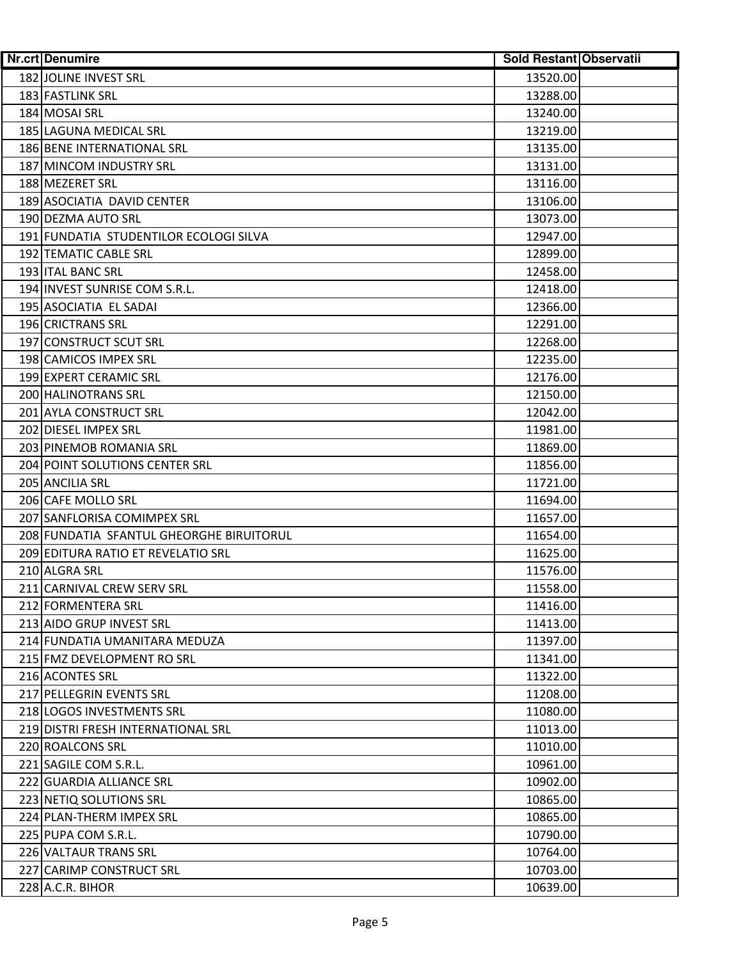| <b>Nr.crt Denumire</b>                   | Sold Restant Observatii |
|------------------------------------------|-------------------------|
| 182 JOLINE INVEST SRL                    | 13520.00                |
| 183 FASTLINK SRL                         | 13288.00                |
| 184 MOSAI SRL                            | 13240.00                |
| 185 LAGUNA MEDICAL SRL                   | 13219.00                |
| 186 BENE INTERNATIONAL SRL               | 13135.00                |
| 187 MINCOM INDUSTRY SRL                  | 13131.00                |
| 188 MEZERET SRL                          | 13116.00                |
| 189 ASOCIATIA DAVID CENTER               | 13106.00                |
| 190 DEZMA AUTO SRL                       | 13073.00                |
| 191 FUNDATIA STUDENTILOR ECOLOGI SILVA   | 12947.00                |
| 192 TEMATIC CABLE SRL                    | 12899.00                |
| 193 ITAL BANC SRL                        | 12458.00                |
| 194 INVEST SUNRISE COM S.R.L.            | 12418.00                |
| 195 ASOCIATIA EL SADAI                   | 12366.00                |
| 196 CRICTRANS SRL                        | 12291.00                |
| 197 CONSTRUCT SCUT SRL                   | 12268.00                |
| 198 CAMICOS IMPEX SRL                    | 12235.00                |
| 199 EXPERT CERAMIC SRL                   | 12176.00                |
| 200 HALINOTRANS SRL                      | 12150.00                |
| 201 AYLA CONSTRUCT SRL                   | 12042.00                |
| 202 DIESEL IMPEX SRL                     | 11981.00                |
| 203 PINEMOB ROMANIA SRL                  | 11869.00                |
| 204 POINT SOLUTIONS CENTER SRL           | 11856.00                |
| 205 ANCILIA SRL                          | 11721.00                |
| 206 CAFE MOLLO SRL                       | 11694.00                |
| 207 SANFLORISA COMIMPEX SRL              | 11657.00                |
| 208 FUNDATIA SFANTUL GHEORGHE BIRUITORUL | 11654.00                |
| 209 EDITURA RATIO ET REVELATIO SRL       | 11625.00                |
| 210 ALGRA SRL                            | 11576.00                |
| 211 CARNIVAL CREW SERV SRL               | 11558.00                |
| 212 FORMENTERA SRL                       | 11416.00                |
| 213 AIDO GRUP INVEST SRL                 | 11413.00                |
| 214 FUNDATIA UMANITARA MEDUZA            | 11397.00                |
| 215 FMZ DEVELOPMENT RO SRL               | 11341.00                |
| 216 ACONTES SRL                          | 11322.00                |
| 217 PELLEGRIN EVENTS SRL                 | 11208.00                |
| 218 LOGOS INVESTMENTS SRL                | 11080.00                |
| 219 DISTRI FRESH INTERNATIONAL SRL       | 11013.00                |
| 220 ROALCONS SRL                         | 11010.00                |
| 221 SAGILE COM S.R.L.                    | 10961.00                |
| 222 GUARDIA ALLIANCE SRL                 | 10902.00                |
| 223 NETIQ SOLUTIONS SRL                  | 10865.00                |
| 224 PLAN-THERM IMPEX SRL                 | 10865.00                |
| 225 PUPA COM S.R.L.                      | 10790.00                |
| 226 VALTAUR TRANS SRL                    | 10764.00                |
| 227 CARIMP CONSTRUCT SRL                 | 10703.00                |
| 228 A.C.R. BIHOR                         | 10639.00                |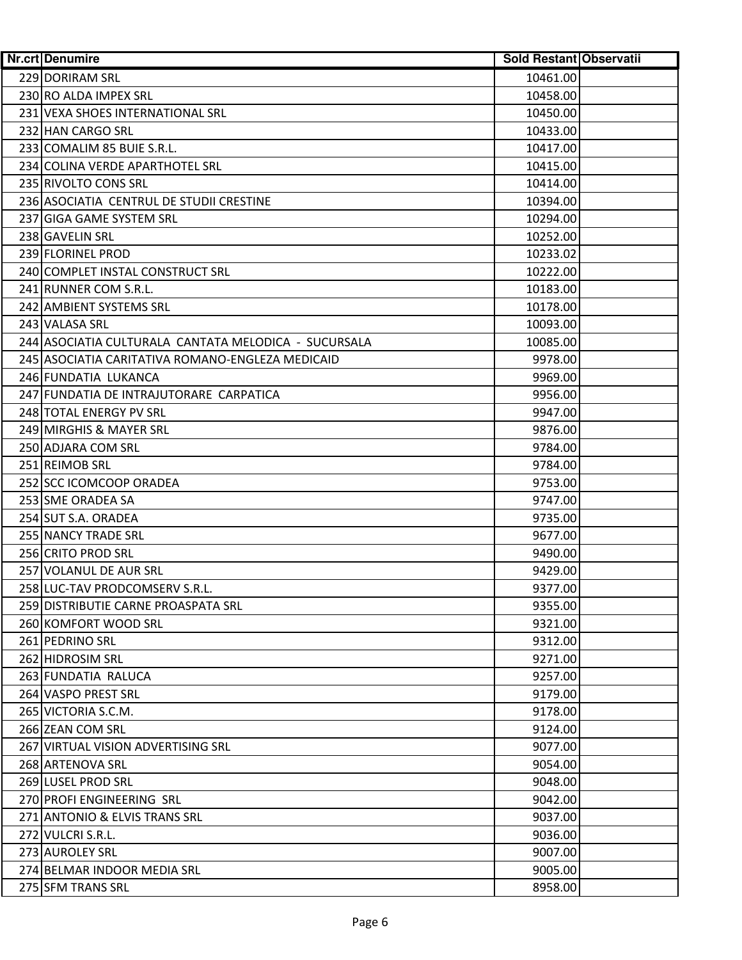| <b>Nr.crt Denumire</b>                               | Sold Restant Observatii |
|------------------------------------------------------|-------------------------|
| 229 DORIRAM SRL                                      | 10461.00                |
| 230 RO ALDA IMPEX SRL                                | 10458.00                |
| 231 VEXA SHOES INTERNATIONAL SRL                     | 10450.00                |
| 232 HAN CARGO SRL                                    | 10433.00                |
| 233 COMALIM 85 BUIE S.R.L.                           | 10417.00                |
| 234 COLINA VERDE APARTHOTEL SRL                      | 10415.00                |
| 235 RIVOLTO CONS SRL                                 | 10414.00                |
| 236 ASOCIATIA CENTRUL DE STUDII CRESTINE             | 10394.00                |
| 237 GIGA GAME SYSTEM SRL                             | 10294.00                |
| 238 GAVELIN SRL                                      | 10252.00                |
| 239 FLORINEL PROD                                    | 10233.02                |
| 240 COMPLET INSTAL CONSTRUCT SRL                     | 10222.00                |
| 241 RUNNER COM S.R.L.                                | 10183.00                |
| 242 AMBIENT SYSTEMS SRL                              | 10178.00                |
| 243 VALASA SRL                                       | 10093.00                |
| 244 ASOCIATIA CULTURALA CANTATA MELODICA - SUCURSALA | 10085.00                |
| 245 ASOCIATIA CARITATIVA ROMANO-ENGLEZA MEDICAID     | 9978.00                 |
| 246 FUNDATIA LUKANCA                                 | 9969.00                 |
| 247 FUNDATIA DE INTRAJUTORARE CARPATICA              | 9956.00                 |
| 248 TOTAL ENERGY PV SRL                              | 9947.00                 |
| 249 MIRGHIS & MAYER SRL                              | 9876.00                 |
| 250 ADJARA COM SRL                                   | 9784.00                 |
| 251 REIMOB SRL                                       | 9784.00                 |
| 252 SCC ICOMCOOP ORADEA                              | 9753.00                 |
| 253 SME ORADEA SA                                    | 9747.00                 |
| 254 SUT S.A. ORADEA                                  | 9735.00                 |
| 255 NANCY TRADE SRL                                  | 9677.00                 |
| 256 CRITO PROD SRL                                   | 9490.00                 |
| 257 VOLANUL DE AUR SRL                               | 9429.00                 |
| 258 LUC-TAV PRODCOMSERV S.R.L.                       | 9377.00                 |
| 259 DISTRIBUTIE CARNE PROASPATA SRL                  | 9355.00                 |
| 260 KOMFORT WOOD SRL                                 | 9321.00                 |
| 261 PEDRINO SRL                                      | 9312.00                 |
| 262 HIDROSIM SRL                                     | 9271.00                 |
| 263 FUNDATIA RALUCA                                  | 9257.00                 |
| 264 VASPO PREST SRL                                  | 9179.00                 |
| 265 VICTORIA S.C.M.                                  | 9178.00                 |
| 266 ZEAN COM SRL                                     | 9124.00                 |
| 267 VIRTUAL VISION ADVERTISING SRL                   | 9077.00                 |
| 268 ARTENOVA SRL                                     | 9054.00                 |
| 269 LUSEL PROD SRL                                   | 9048.00                 |
| 270 PROFI ENGINEERING SRL                            | 9042.00                 |
| 271 ANTONIO & ELVIS TRANS SRL                        | 9037.00                 |
| 272 VULCRI S.R.L.                                    | 9036.00                 |
| 273 AUROLEY SRL                                      | 9007.00                 |
| 274 BELMAR INDOOR MEDIA SRL                          | 9005.00                 |
| 275 SFM TRANS SRL                                    | 8958.00                 |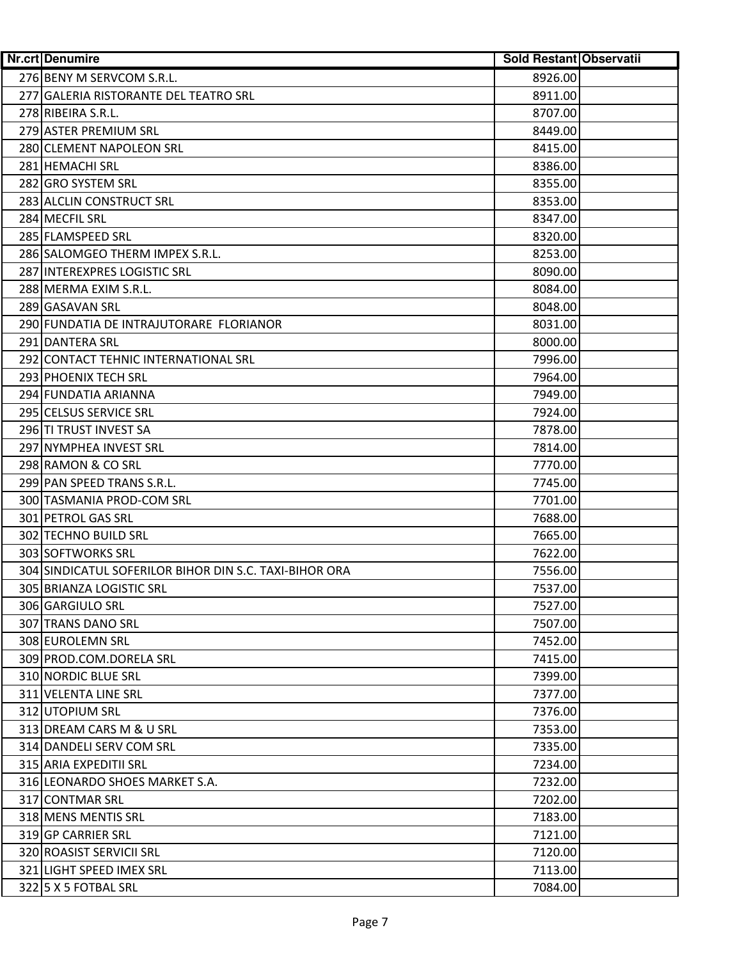| Nr.crt Denumire                                        | Sold Restant Observatii |
|--------------------------------------------------------|-------------------------|
| 276 BENY M SERVCOM S.R.L.                              | 8926.00                 |
| 277 GALERIA RISTORANTE DEL TEATRO SRL                  | 8911.00                 |
| 278 RIBEIRA S.R.L.                                     | 8707.00                 |
| 279 ASTER PREMIUM SRL                                  | 8449.00                 |
| 280 CLEMENT NAPOLEON SRL                               | 8415.00                 |
| 281 HEMACHI SRL                                        | 8386.00                 |
| 282 GRO SYSTEM SRL                                     | 8355.00                 |
| 283 ALCLIN CONSTRUCT SRL                               | 8353.00                 |
| 284 MECFIL SRL                                         | 8347.00                 |
| 285 FLAMSPEED SRL                                      | 8320.00                 |
| 286 SALOMGEO THERM IMPEX S.R.L.                        | 8253.00                 |
| 287 INTEREXPRES LOGISTIC SRL                           | 8090.00                 |
| 288 MERMA EXIM S.R.L.                                  | 8084.00                 |
| 289 GASAVAN SRL                                        | 8048.00                 |
| 290 FUNDATIA DE INTRAJUTORARE FLORIANOR                | 8031.00                 |
| 291 DANTERA SRL                                        | 8000.00                 |
| 292 CONTACT TEHNIC INTERNATIONAL SRL                   | 7996.00                 |
| 293 PHOENIX TECH SRL                                   | 7964.00                 |
| 294 FUNDATIA ARIANNA                                   | 7949.00                 |
| 295 CELSUS SERVICE SRL                                 | 7924.00                 |
| 296 TI TRUST INVEST SA                                 | 7878.00                 |
| 297 NYMPHEA INVEST SRL                                 | 7814.00                 |
| 298 RAMON & CO SRL                                     | 7770.00                 |
| 299 PAN SPEED TRANS S.R.L.                             | 7745.00                 |
| 300 TASMANIA PROD-COM SRL                              | 7701.00                 |
| 301 PETROL GAS SRL                                     | 7688.00                 |
| 302 TECHNO BUILD SRL                                   | 7665.00                 |
| 303 SOFTWORKS SRL                                      | 7622.00                 |
| 304 SINDICATUL SOFERILOR BIHOR DIN S.C. TAXI-BIHOR ORA | 7556.00                 |
| 305 BRIANZA LOGISTIC SRL                               | 7537.00                 |
| 306 GARGIULO SRL                                       | 7527.00                 |
| 307 TRANS DANO SRL                                     | 7507.00                 |
| 308 EUROLEMN SRL                                       | 7452.00                 |
| 309 PROD.COM.DORELA SRL                                | 7415.00                 |
| 310 NORDIC BLUE SRL                                    | 7399.00                 |
| 311 VELENTA LINE SRL                                   | 7377.00                 |
| 312 UTOPIUM SRL                                        | 7376.00                 |
| 313 DREAM CARS M & U SRL                               | 7353.00                 |
| 314 DANDELI SERV COM SRL                               | 7335.00                 |
| 315 ARIA EXPEDITII SRL                                 | 7234.00                 |
| 316 LEONARDO SHOES MARKET S.A.                         | 7232.00                 |
| 317 CONTMAR SRL                                        | 7202.00                 |
| 318 MENS MENTIS SRL                                    | 7183.00                 |
| 319 GP CARRIER SRL                                     | 7121.00                 |
| 320 ROASIST SERVICII SRL                               | 7120.00                 |
| 321 LIGHT SPEED IMEX SRL                               | 7113.00                 |
| 322 5 X 5 FOTBAL SRL                                   | 7084.00                 |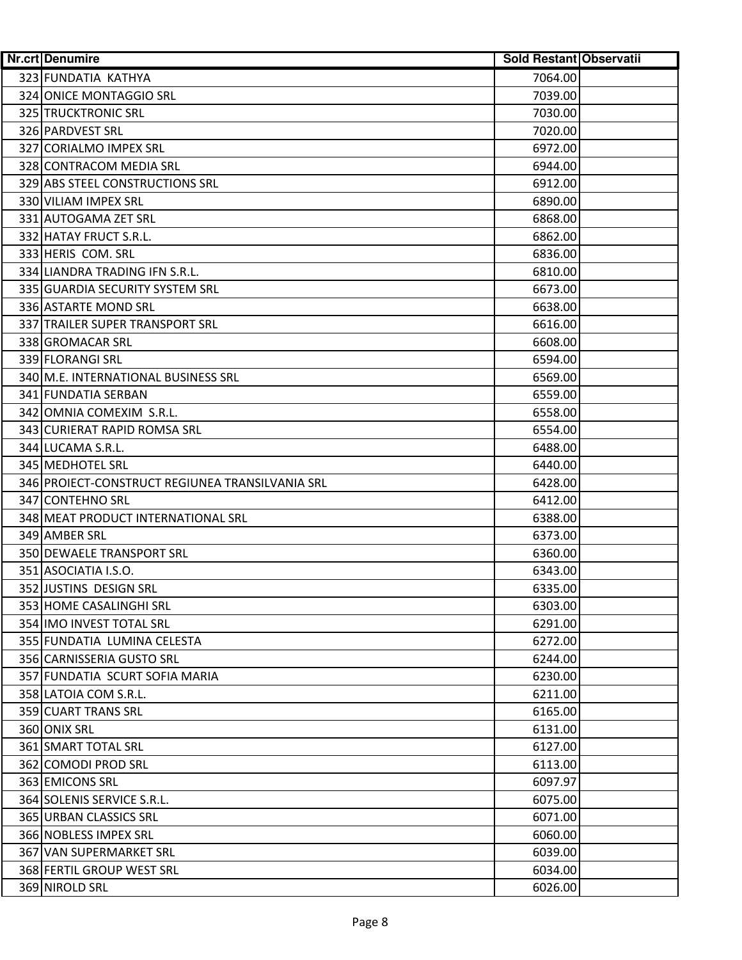| <b>Nr.crt Denumire</b>                          | Sold Restant Observatii |
|-------------------------------------------------|-------------------------|
| 323 FUNDATIA KATHYA                             | 7064.00                 |
| 324 ONICE MONTAGGIO SRL                         | 7039.00                 |
| 325 TRUCKTRONIC SRL                             | 7030.00                 |
| 326 PARDVEST SRL                                | 7020.00                 |
| 327 CORIALMO IMPEX SRL                          | 6972.00                 |
| 328 CONTRACOM MEDIA SRL                         | 6944.00                 |
| 329 ABS STEEL CONSTRUCTIONS SRL                 | 6912.00                 |
| 330 VILIAM IMPEX SRL                            | 6890.00                 |
| 331 AUTOGAMA ZET SRL                            | 6868.00                 |
| 332 HATAY FRUCT S.R.L.                          | 6862.00                 |
| 333 HERIS COM. SRL                              | 6836.00                 |
| 334 LIANDRA TRADING IFN S.R.L.                  | 6810.00                 |
| 335 GUARDIA SECURITY SYSTEM SRL                 | 6673.00                 |
| 336 ASTARTE MOND SRL                            | 6638.00                 |
| 337 TRAILER SUPER TRANSPORT SRL                 | 6616.00                 |
| 338 GROMACAR SRL                                | 6608.00                 |
| 339 FLORANGI SRL                                | 6594.00                 |
| 340 M.E. INTERNATIONAL BUSINESS SRL             | 6569.00                 |
| 341 FUNDATIA SERBAN                             | 6559.00                 |
| 342 OMNIA COMEXIM S.R.L.                        | 6558.00                 |
| 343 CURIERAT RAPID ROMSA SRL                    | 6554.00                 |
| 344 LUCAMA S.R.L.                               | 6488.00                 |
| 345 MEDHOTEL SRL                                | 6440.00                 |
| 346 PROIECT-CONSTRUCT REGIUNEA TRANSILVANIA SRL | 6428.00                 |
| 347 CONTEHNO SRL                                | 6412.00                 |
| 348 MEAT PRODUCT INTERNATIONAL SRL              | 6388.00                 |
| 349 AMBER SRL                                   | 6373.00                 |
| 350 DEWAELE TRANSPORT SRL                       | 6360.00                 |
| 351 ASOCIATIA I.S.O.                            | 6343.00                 |
| 352 JUSTINS DESIGN SRL                          | 6335.00                 |
| 353 HOME CASALINGHI SRL                         | 6303.00                 |
| 354 IMO INVEST TOTAL SRL                        | 6291.00                 |
| 355 FUNDATIA LUMINA CELESTA                     | 6272.00                 |
| 356 CARNISSERIA GUSTO SRL                       | 6244.00                 |
| 357 FUNDATIA SCURT SOFIA MARIA                  | 6230.00                 |
| 358 LATOIA COM S.R.L.                           | 6211.00                 |
| 359 CUART TRANS SRL                             | 6165.00                 |
| 360 ONIX SRL                                    | 6131.00                 |
| 361 SMART TOTAL SRL                             | 6127.00                 |
| 362 COMODI PROD SRL                             | 6113.00                 |
| 363 EMICONS SRL                                 | 6097.97                 |
| 364 SOLENIS SERVICE S.R.L.                      | 6075.00                 |
| 365 URBAN CLASSICS SRL                          | 6071.00                 |
| 366 NOBLESS IMPEX SRL                           | 6060.00                 |
| 367 VAN SUPERMARKET SRL                         | 6039.00                 |
| 368 FERTIL GROUP WEST SRL                       | 6034.00                 |
| 369 NIROLD SRL                                  | 6026.00                 |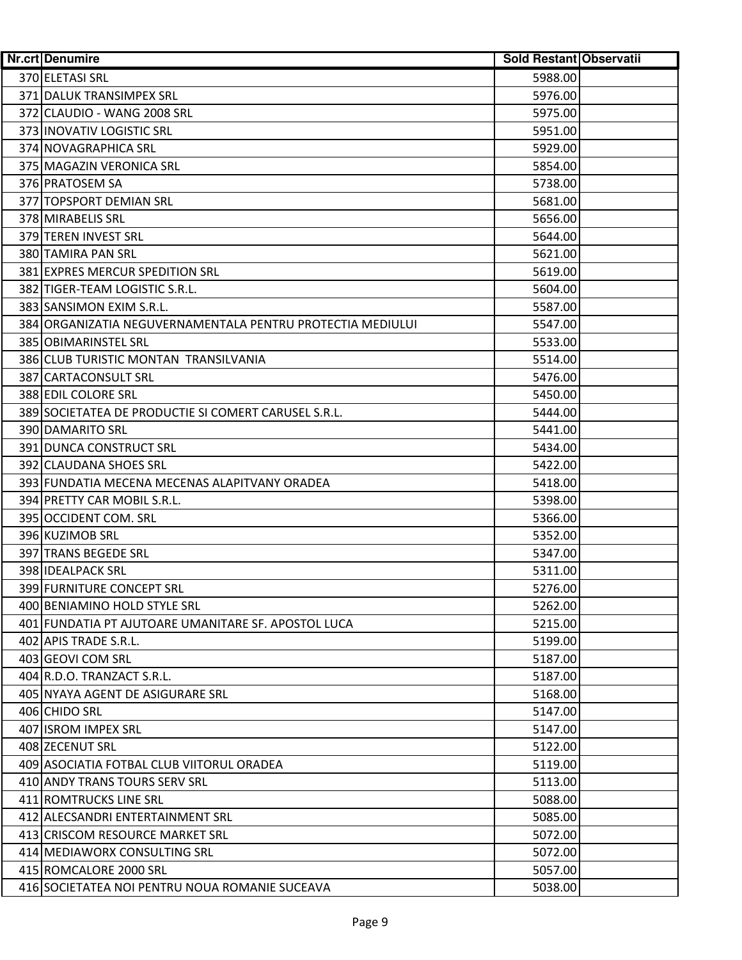| <b>Nr.crt Denumire</b>                                     | Sold Restant Observatii |
|------------------------------------------------------------|-------------------------|
| 370 ELETASI SRL                                            | 5988.00                 |
| 371 DALUK TRANSIMPEX SRL                                   | 5976.00                 |
| 372 CLAUDIO - WANG 2008 SRL                                | 5975.00                 |
| 373 INOVATIV LOGISTIC SRL                                  | 5951.00                 |
| 374 NOVAGRAPHICA SRL                                       | 5929.00                 |
| 375 MAGAZIN VERONICA SRL                                   | 5854.00                 |
| 376 PRATOSEM SA                                            | 5738.00                 |
| 377 TOPSPORT DEMIAN SRL                                    | 5681.00                 |
| 378 MIRABELIS SRL                                          | 5656.00                 |
| 379 TEREN INVEST SRL                                       | 5644.00                 |
| 380 TAMIRA PAN SRL                                         | 5621.00                 |
| 381 EXPRES MERCUR SPEDITION SRL                            | 5619.00                 |
| 382 TIGER-TEAM LOGISTIC S.R.L.                             | 5604.00                 |
| 383 SANSIMON EXIM S.R.L.                                   | 5587.00                 |
| 384 ORGANIZATIA NEGUVERNAMENTALA PENTRU PROTECTIA MEDIULUI | 5547.00                 |
| 385 OBIMARINSTEL SRL                                       | 5533.00                 |
| 386 CLUB TURISTIC MONTAN TRANSILVANIA                      | 5514.00                 |
| 387 CARTACONSULT SRL                                       | 5476.00                 |
| 388 EDIL COLORE SRL                                        | 5450.00                 |
| 389 SOCIETATEA DE PRODUCTIE SI COMERT CARUSEL S.R.L.       | 5444.00                 |
| 390 DAMARITO SRL                                           | 5441.00                 |
| 391 DUNCA CONSTRUCT SRL                                    | 5434.00                 |
| 392 CLAUDANA SHOES SRL                                     | 5422.00                 |
| 393 FUNDATIA MECENA MECENAS ALAPITVANY ORADEA              | 5418.00                 |
| 394 PRETTY CAR MOBIL S.R.L.                                | 5398.00                 |
| 395 OCCIDENT COM. SRL                                      | 5366.00                 |
| 396 KUZIMOB SRL                                            | 5352.00                 |
| 397 TRANS BEGEDE SRL                                       | 5347.00                 |
| <b>398 IDEALPACK SRL</b>                                   | 5311.00                 |
| 399 FURNITURE CONCEPT SRL                                  | 5276.00                 |
| 400 BENIAMINO HOLD STYLE SRL                               | 5262.00                 |
| 401 FUNDATIA PT AJUTOARE UMANITARE SF. APOSTOL LUCA        | 5215.00                 |
| 402 APIS TRADE S.R.L.                                      | 5199.00                 |
| 403 GEOVI COM SRL                                          | 5187.00                 |
| 404 R.D.O. TRANZACT S.R.L.                                 | 5187.00                 |
| 405 NYAYA AGENT DE ASIGURARE SRL                           | 5168.00                 |
| 406 CHIDO SRL                                              | 5147.00                 |
| 407 ISROM IMPEX SRL                                        | 5147.00                 |
| 408 ZECENUT SRL                                            | 5122.00                 |
| 409 ASOCIATIA FOTBAL CLUB VIITORUL ORADEA                  | 5119.00                 |
| 410 ANDY TRANS TOURS SERV SRL                              | 5113.00                 |
| 411 ROMTRUCKS LINE SRL                                     | 5088.00                 |
| 412 ALECSANDRI ENTERTAINMENT SRL                           | 5085.00                 |
| 413 CRISCOM RESOURCE MARKET SRL                            | 5072.00                 |
| 414 MEDIAWORX CONSULTING SRL                               | 5072.00                 |
| 415 ROMCALORE 2000 SRL                                     | 5057.00                 |
| 416 SOCIETATEA NOI PENTRU NOUA ROMANIE SUCEAVA             | 5038.00                 |